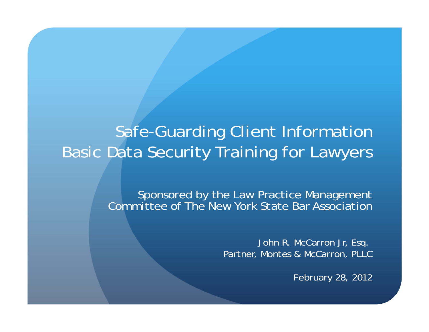#### Safe-Guarding Client Information Basic Data Security Training for Lawyers

Sponsored by the Law Practice Management Committee of The New York State Bar Association

> John R. McCarron Jr, Esq. Partner, Montes & McCarron, PLLC

> > February 28, 2012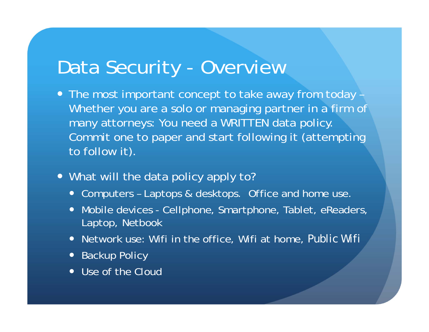# Data Security - Overview

- The most important concept to take away from today Whether you are a solo or managing partner in a firm of many attorneys: You need a WRITTEN data policy. Commit one to paper and start following it (attempting to follow it).
- What will the data policy apply to?
	- Computers Laptops & desktops. Office and home use.
	- Mobile devices Cellphone, Smartphone, Tablet, eReaders, Laptop, Netbook
	- Network use: Wifi in the office, Wifi at home, *Public Wifi*
	- Backup Policy
	- Use of the Cloud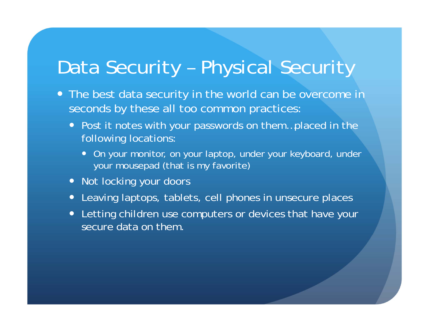# Data Security – Physical Security

- The best data security in the world can be overcome in seconds by these all too common practices:
	- Post it notes with your passwords on them...placed in the following locations:
		- On your monitor, on your laptop, under your keyboard, under your mousepad (that is my favorite)
	- Not locking your doors
	- Leaving laptops, tablets, cell phones in unsecure places
	- $\bullet$  Letting children use computers or devices that have your secure data on them.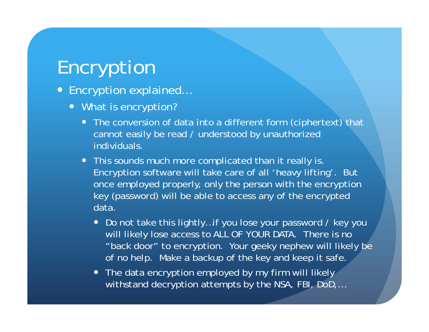# Encryption

- Encryption explained...
	- What is encryption?
		- The conversion of data into a different form (ciphertext) that cannot easily be read / understood by unauthorized individuals.
		- This sounds much more complicated than it really is. Encryption software will take care of all 'heavy lifting'. But once employed properly, only the person with the encryption key (password) will be able to access any of the encrypted data.
			- Do not take this lightly...if you lose your password / key you will likely lose access to ALL OF YOUR DATA. There is no "back door" to encryption. Your geeky nephew will likely be of no help. Make a backup of the key and keep it safe.
			- The data encryption employed by my firm will likely withstand decryption attempts by the NSA, FBI, DoD,…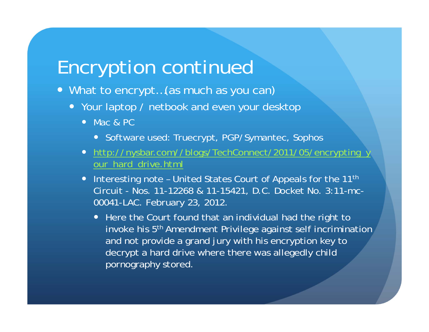## Encryption continued

- What to encrypt…(as much as you can)
	- Your laptop / netbook and even your desktop
		- Mac & PC
			- Software used: Truecrypt, PGP/Symantec, Sophos
		- http://nysbar.com//blogs/TechConnect/2011/05/encrypting\_y our\_hard\_drive.html
		- Interesting note United States Court of Appeals for the 11<sup>th</sup> Circuit - Nos. 11-12268 & 11-15421, D.C. Docket No. 3:11-mc-00041-LAC. February 23, 2012.
			- Here the Court found that an individual had the right to invoke his 5<sup>th</sup> Amendment Privilege against self incrimination and not provide a grand jury with his encryption key to decrypt a hard drive where there was allegedly child pornography stored.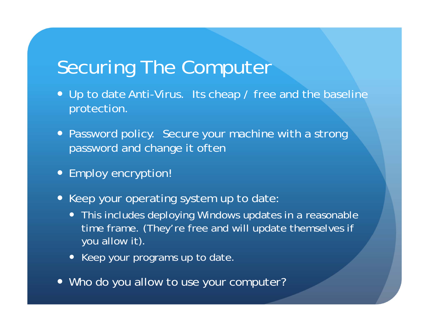# Securing The Computer

- Up to date Anti-Virus. Its cheap / free and the baseline protection.
- Password policy. Secure your machine with a strong password and change it often
- Employ encryption!
- Keep your operating system up to date:
	- This includes deploying Windows updates in a reasonable time frame. (They're free and will update themselves if you allow it).
	- Keep your programs up to date.
- Who do you allow to use your computer?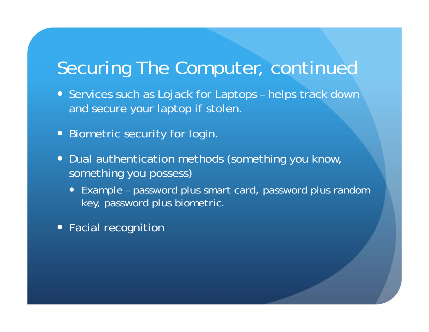## Securing The Computer, continued

- Services such as Lojack for Laptops helps track down and secure your laptop if stolen.
- Biometric security for login.
- Dual authentication methods (something you know, something you possess)
	- $\bullet$  Example – password plus smart card, password plus random key, password plus biometric.
- Facial recognition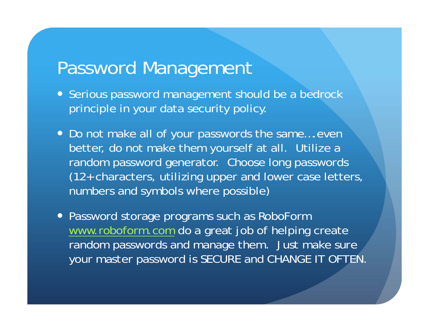#### Password Management

- Serious password management should be a bedrock principle in your data security policy.
- Do not make all of your passwords the same....even better, do not make them yourself at all. Utilize a random password generator. Choose long passwords (12+ characters, utilizing upper and lower case letters, numbers and symbols where possible)
- Password storage programs such as RoboForm www.roboform.com do a great job of helping create random passwords and manage them. Just make sure your master password is SECURE and CHANGE IT OFTEN.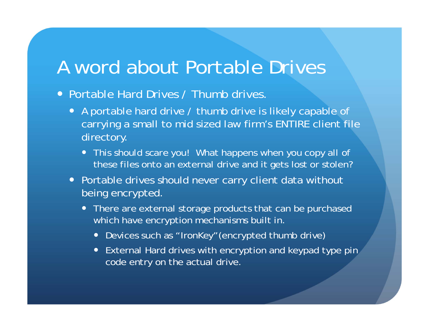## A word about Portable Drives

- Portable Hard Drives / Thumb drives.
	- A portable hard drive / thumb drive is likely capable of carrying a small to mid sized law firm's ENTIRE client file directory.
		- This should scare you! What happens when you copy all of these files onto an external drive and it gets lost or stolen?
	- Portable drives should never carry client data without being encrypted.
		- There are external storage products that can be purchased which have encryption mechanisms built in.
			- Devices such as "IronKey"(encrypted thumb drive)
			- External Hard drives with encryption and keypad type pin code entry on the actual drive.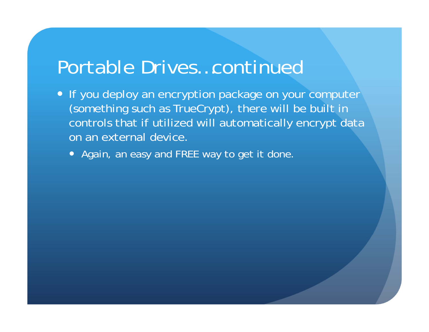#### Portable Drives…continued

- If you deploy an encryption package on your computer (something such as TrueCrypt), there will be built in controls that if utilized will automatically encrypt data on an external device.
	- Again, an easy and FREE way to get it done.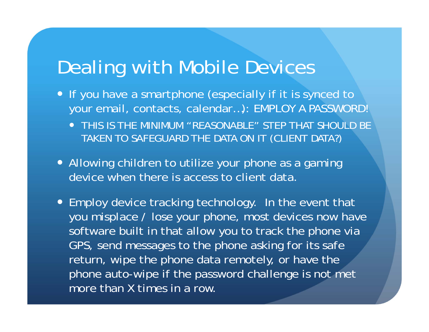# Dealing with Mobile Devices

- If you have a smartphone (especially if it is synced to your email, contacts, calendar…): EMPLOY A PASSWORD!
	- THIS IS THE MINIMUM "REASONABLE" STEP THAT SHOULD BE TAKEN TO SAFEGUARD THE DATA ON IT (CLIENT DATA?)
- Allowing children to utilize your phone as a gaming device when there is access to client data.
- Employ device tracking technology. In the event that you misplace / lose your phone, most devices now have software built in that allow you to track the phone via GPS, send messages to the phone asking for its safe return, wipe the phone data remotely, or have the phone auto-wipe if the password challenge is not met more than X times in a row.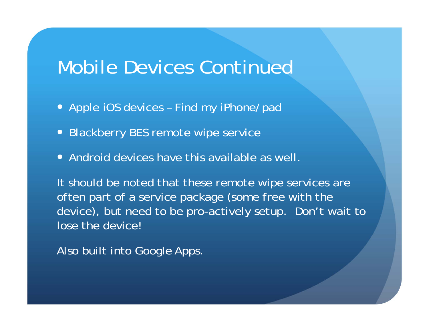## Mobile Devices Continued

- Apple iOS devices Find my iPhone/pad
- Blackberry BES remote wipe service
- Android devices have this available as well.

It should be noted that these remote wipe services are often part of a service package (some free with the device), but need to be pro-actively setup. Don't wait to lose the device!

Also built into Google Apps.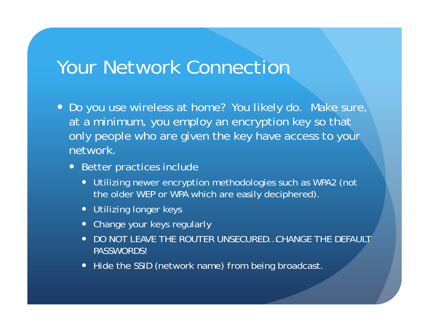#### Your Network Connection

- Do you use wireless at home? You likely do. Make sure, at a minimum, you employ an encryption key so that only people who are given the key have access to your network.
	- Better practices include
		- Utilizing newer encryption methodologies such as WPA2 (not the older WEP or WPA which are easily deciphered).
		- Utilizing longer keys
		- Change your keys regularly
		- $\bullet$  DO NOT LEAVE THE ROUTER UNSECURED…CHANGE THE DEFAULT PASSWORDS!
		- Hide the SSID (network name) from being broadcast.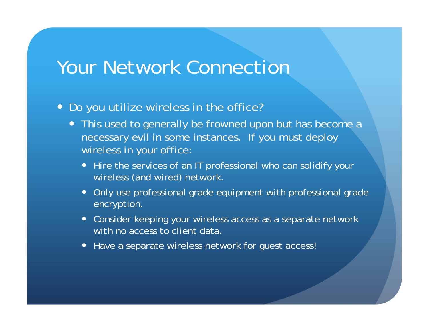#### Your Network Connection

#### Do you utilize wireless in the office?

- This used to generally be frowned upon but has become a necessary evil in some instances. If you must deploy wireless in your office:
	- Hire the services of an IT professional who can solidify your wireless (and wired) network.
	- $\bullet$  Only use professional grade equipment with professional grade encryption.
	- Consider keeping your wireless access as a separate network with no access to client data.
	- Have a separate wireless network for guest access!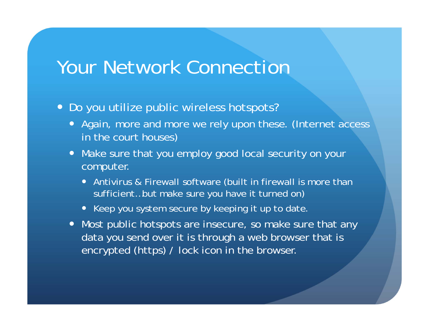#### Your Network Connection

- Do you utilize public wireless hotspots?
	- Again, more and more we rely upon these. (Internet access in the court houses)
	- Make sure that you employ good local security on your computer.
		- Antivirus & Firewall software (built in firewall is more than sufficient…but make sure you have it turned on)
		- Keep you system secure by keeping it up to date.
	- Most public hotspots are insecure, so make sure that any data you send over it is through a web browser that is encrypted (https) / lock icon in the browser.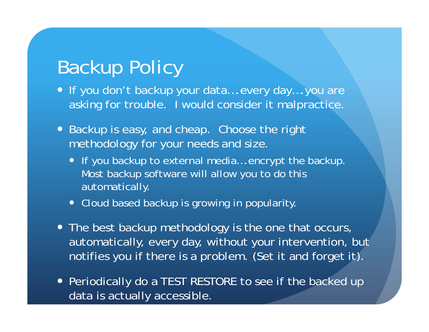# Backup Policy

- If you don't backup your data....every day....you are asking for trouble. I would consider it malpractice.
- Backup is easy, and cheap. Choose the right methodology for your needs and size.
	- If you backup to external media....encrypt the backup. Most backup software will allow you to do this automatically.
	- Cloud based backup is growing in popularity.
- The best backup methodology is the one that occurs, automatically, every day, without your intervention, but notifies you if there is a problem. (Set it and forget it).
- Periodically do a TEST RESTORE to see if the backed up data is actually accessible.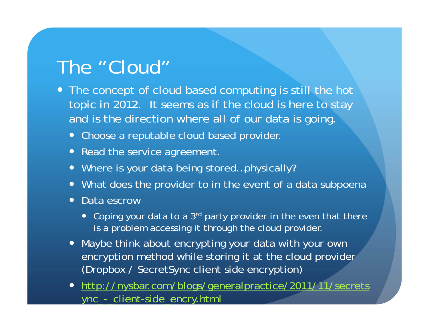# The "Cloud"

- The concept of cloud based computing is still the hot topic in 2012. It seems as if the cloud is here to stay and is the direction where all of our data is going.
	- Choose a reputable cloud based provider.
	- Read the service agreement.
	- Where is your data being stored…physically?
	- What does the provider to in the event of a data subpoena
	- $\bullet$  Data escrow
		- Coping your data to a 3<sup>rd</sup> party provider in the even that there is a problem accessing it through the cloud provider.
	- Maybe think about encrypting your data with your own encryption method while storing it at the cloud provider (Dropbox / SecretSync client side encryption)
	- http://nysbar.com/blogs/generalpractice/2011/11/secrets ync\_-\_client-side\_encry.html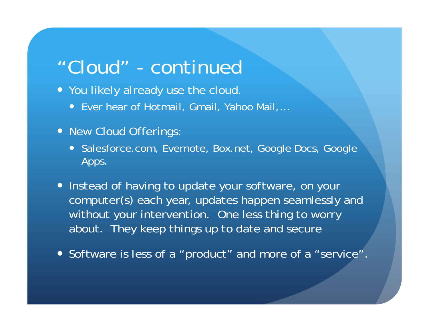## "Cloud" - continued

- You likely already use the cloud.
	- Ever hear of Hotmail, Gmail, Yahoo Mail,...
- New Cloud Offerings:
	- Salesforce.com, Evernote, Box.net, Google Docs, Google Apps.
- Instead of having to update your software, on your computer(s) each year, updates happen seamlessly and without your intervention. One less thing to worry about. They keep things up to date and secure
- Software is less of a "product" and more of a "service".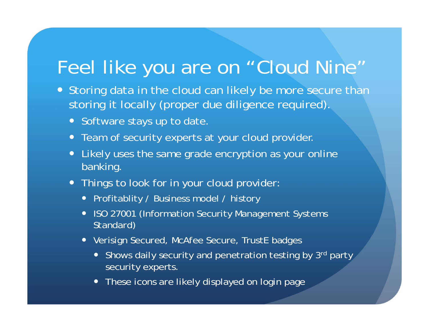## Feel like you are on "Cloud Nine"

- Storing data in the cloud can likely be more secure than storing it locally (proper due diligence required).
	- Software stays up to date.
	- Team of security experts at your cloud provider.
	- $\bullet$  Likely uses the same grade encryption as your online banking.
	- Things to look for in your cloud provider:
		- Profitablity / Business model / history
		- ISO 27001 (Information Security Management Systems Standard)
		- Verisign Secured, McAfee Secure, TrustE badges
			- Shows daily security and penetration testing by 3<sup>rd</sup> party security experts.
			- These icons are likely displayed on login page